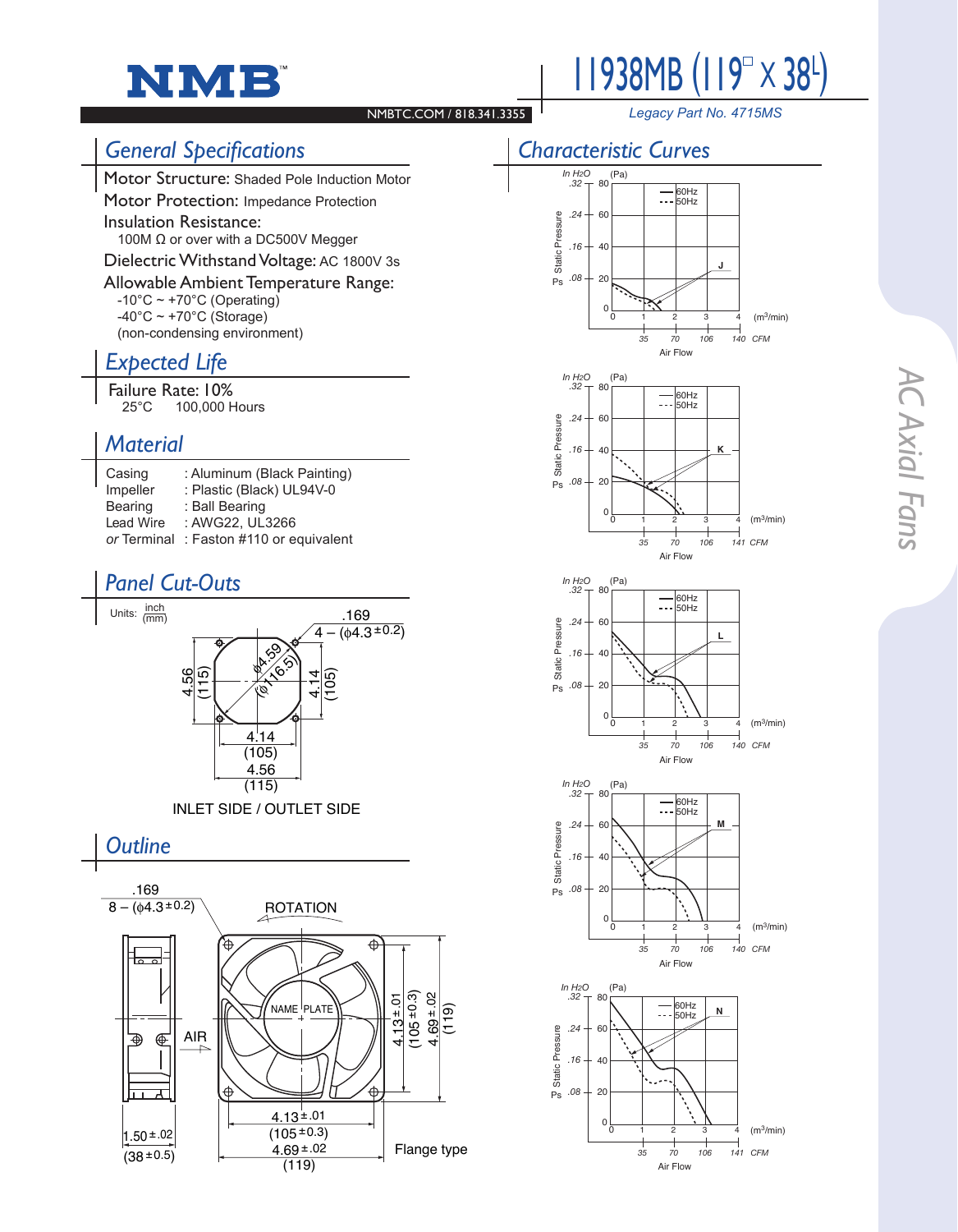



#### NMBTC.COM / 818.341.3355

*Legacy Part No. 4715MS*

### *Characteristic Curves*

# *General Specifications*

Motor Structure: Shaded Pole Induction Motor

Motor Protection: Impedance Protection

Insulation Resistance: 100M Ω or over with a DC500V Megger

Dielectric Withstand Voltage: AC 1800V 3s

Allowable Ambient Temperature Range:

 $-10^{\circ}$ C ~ +70 $^{\circ}$ C (Operating)  $-40^{\circ}$ C ~ +70 $^{\circ}$ C (Storage) (non-condensing environment)

## *Expected Life*

**Failure Rate: 10%**<br>100.000 P 100,000 Hours

### *Material*

| Casing      | : Aluminum (Black Painting) |
|-------------|-----------------------------|
| Impeller    | : Plastic (Black) UL94V-0   |
| Bearing     | : Ball Bearing              |
| Lead Wire   | : AWG22. UL3266             |
| or Terminal | : Faston #110 or equivalent |

### *Panel Cut-Outs*















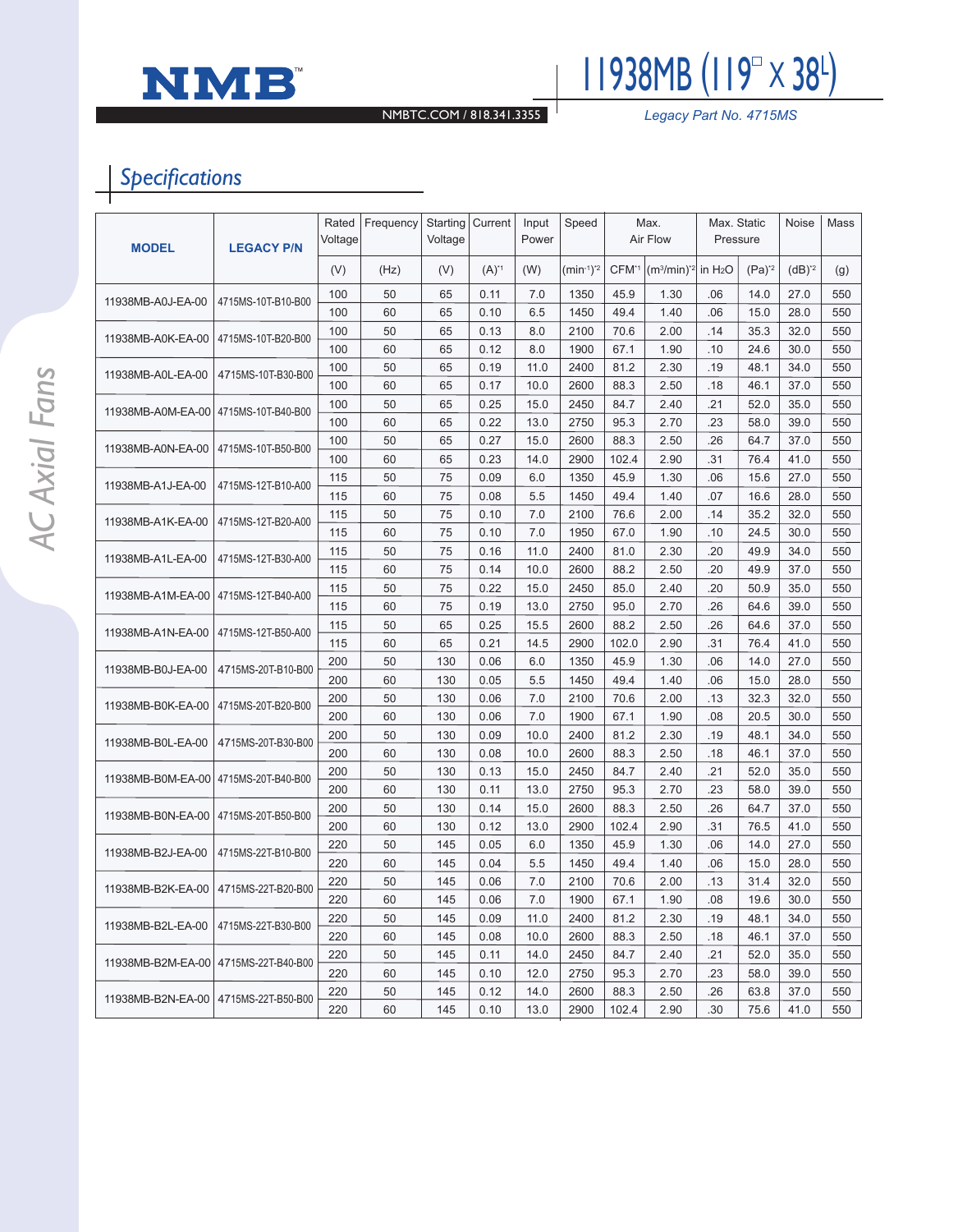



NMBTC.COM / 818.341.3355 *Legacy Part No. 4715MS*

# *Specifications*

| <b>MODEL</b>                            | <b>LEGACY P/N</b>  | Rated<br>Voltage | Frequency | Starting<br>Voltage | Current   | Input<br>Power | Speed          | Max.<br>Air Flow  |              | Max. Static<br>Pressure |          | Noise    | Mass |
|-----------------------------------------|--------------------|------------------|-----------|---------------------|-----------|----------------|----------------|-------------------|--------------|-------------------------|----------|----------|------|
|                                         |                    | (V)              | (Hz)      | (V)                 | $(A)^{1}$ | (W)            | $(min^{-1})^*$ | CFM <sup>*1</sup> | $(m3/min)*2$ | in H <sub>2</sub> O     | $(Pa)^2$ | $(dB)*2$ | (g)  |
| 11938MB-A0J-EA-00                       | 4715MS-10T-B10-B00 | 100              | 50        | 65                  | 0.11      | 7.0            | 1350           | 45.9              | 1.30         | .06                     | 14.0     | 27.0     | 550  |
|                                         |                    | 100              | 60        | 65                  | 0.10      | 6.5            | 1450           | 49.4              | 1.40         | .06                     | 15.0     | 28.0     | 550  |
| 4715MS-10T-B20-B00<br>11938MB-A0K-EA-00 |                    | 100              | 50        | 65                  | 0.13      | 8.0            | 2100           | 70.6              | 2.00         | .14                     | 35.3     | 32.0     | 550  |
|                                         |                    | 100              | 60        | 65                  | 0.12      | 8.0            | 1900           | 67.1              | 1.90         | .10                     | 24.6     | 30.0     | 550  |
| 11938MB-A0L-EA-00                       | 4715MS-10T-B30-B00 | 100              | 50        | 65                  | 0.19      | 11.0           | 2400           | 81.2              | 2.30         | .19                     | 48.1     | 34.0     | 550  |
|                                         |                    | 100              | 60        | 65                  | 0.17      | 10.0           | 2600           | 88.3              | 2.50         | .18                     | 46.1     | 37.0     | 550  |
| 11938MB-A0M-EA-00                       | 4715MS-10T-B40-B00 | 100              | 50        | 65                  | 0.25      | 15.0           | 2450           | 84.7              | 2.40         | .21                     | 52.0     | 35.0     | 550  |
|                                         |                    | 100              | 60        | 65                  | 0.22      | 13.0           | 2750           | 95.3              | 2.70         | .23                     | 58.0     | 39.0     | 550  |
|                                         | 4715MS-10T-B50-B00 | 100              | 50        | 65                  | 0.27      | 15.0           | 2600           | 88.3              | 2.50         | .26                     | 64.7     | 37.0     | 550  |
| 11938MB-A0N-EA-00                       |                    | 100              | 60        | 65                  | 0.23      | 14.0           | 2900           | 102.4             | 2.90         | .31                     | 76.4     | 41.0     | 550  |
| 11938MB-A1J-EA-00                       | 4715MS-12T-B10-A00 | 115              | 50        | 75                  | 0.09      | 6.0            | 1350           | 45.9              | 1.30         | .06                     | 15.6     | 27.0     | 550  |
|                                         |                    | 115              | 60        | 75                  | 0.08      | 5.5            | 1450           | 49.4              | 1.40         | .07                     | 16.6     | 28.0     | 550  |
| 11938MB-A1K-EA-00                       | 4715MS-12T-B20-A00 | 115              | 50        | 75                  | 0.10      | 7.0            | 2100           | 76.6              | 2.00         | .14                     | 35.2     | 32.0     | 550  |
|                                         |                    | 115              | 60        | 75                  | 0.10      | 7.0            | 1950           | 67.0              | 1.90         | .10                     | 24.5     | 30.0     | 550  |
| 11938MB-A1L-EA-00                       | 4715MS-12T-B30-A00 | 115              | 50        | 75                  | 0.16      | 11.0           | 2400           | 81.0              | 2.30         | .20                     | 49.9     | 34.0     | 550  |
|                                         |                    | 115              | 60        | 75                  | 0.14      | 10.0           | 2600           | 88.2              | 2.50         | .20                     | 49.9     | 37.0     | 550  |
| 11938MB-A1M-EA-00                       | 4715MS-12T-B40-A00 | 115              | 50        | 75                  | 0.22      | 15.0           | 2450           | 85.0              | 2.40         | .20                     | 50.9     | 35.0     | 550  |
|                                         |                    | 115              | 60        | 75                  | 0.19      | 13.0           | 2750           | 95.0              | 2.70         | .26                     | 64.6     | 39.0     | 550  |
| 11938MB-A1N-EA-00                       | 4715MS-12T-B50-A00 | 115              | 50        | 65                  | 0.25      | 15.5           | 2600           | 88.2              | 2.50         | .26                     | 64.6     | 37.0     | 550  |
|                                         |                    | 115              | 60        | 65                  | 0.21      | 14.5           | 2900           | 102.0             | 2.90         | .31                     | 76.4     | 41.0     | 550  |
|                                         | 4715MS-20T-B10-B00 | 200              | 50        | 130                 | 0.06      | 6.0            | 1350           | 45.9              | 1.30         | .06                     | 14.0     | 27.0     | 550  |
| 11938MB-B0J-EA-00                       |                    | 200              | 60        | 130                 | 0.05      | 5.5            | 1450           | 49.4              | 1.40         | .06                     | 15.0     | 28.0     | 550  |
| 11938MB-B0K-EA-00                       | 4715MS-20T-B20-B00 | 200              | 50        | 130                 | 0.06      | 7.0            | 2100           | 70.6              | 2.00         | .13                     | 32.3     | 32.0     | 550  |
|                                         |                    | 200              | 60        | 130                 | 0.06      | 7.0            | 1900           | 67.1              | 1.90         | .08                     | 20.5     | 30.0     | 550  |
| 11938MB-B0L-EA-00                       | 4715MS-20T-B30-B00 | 200              | 50        | 130                 | 0.09      | 10.0           | 2400           | 81.2              | 2.30         | .19                     | 48.1     | 34.0     | 550  |
|                                         |                    | 200              | 60        | 130                 | 0.08      | 10.0           | 2600           | 88.3              | 2.50         | .18                     | 46.1     | 37.0     | 550  |
| 11938MB-B0M-EA-00                       | 4715MS-20T-B40-B00 | 200              | 50        | 130                 | 0.13      | 15.0           | 2450           | 84.7              | 2.40         | .21                     | 52.0     | 35.0     | 550  |
|                                         |                    | 200              | 60        | 130                 | 0.11      | 13.0           | 2750           | 95.3              | 2.70         | .23                     | 58.0     | 39.0     | 550  |
| 11938MB-B0N-EA-00                       | 4715MS-20T-B50-B00 | 200              | 50        | 130                 | 0.14      | 15.0           | 2600           | 88.3              | 2.50         | .26                     | 64.7     | 37.0     | 550  |
|                                         |                    | 200              | 60        | 130                 | 0.12      | 13.0           | 2900           | 102.4             | 2.90         | .31                     | 76.5     | 41.0     | 550  |
| 11938MB-B2J-EA-00                       | 4715MS-22T-B10-B00 | 220              | 50        | 145                 | 0.05      | 6.0            | 1350           | 45.9              | 1.30         | .06                     | 14.0     | 27.0     | 550  |
|                                         |                    | 220              | 60        | 145                 | 0.04      | 5.5            | 1450           | 49.4              | 1.40         | .06                     | 15.0     | 28.0     | 550  |
| 11938MB-B2K-EA-00   4715MS-22T-B20-B00  |                    | 220              | 50        | 145                 | 0.06      | 7.0            | 2100           | 70.6              | 2.00         | .13                     | 31.4     | 32.0     | 550  |
|                                         |                    | 220              | 60        | 145                 | 0.06      | 7.0            | 1900           | 67.1              | 1.90         | .08                     | 19.6     | 30.0     | 550  |
| 11938MB-B2L-EA-00   4715MS-22T-B30-B00  |                    | 220              | 50        | 145                 | 0.09      | 11.0           | 2400           | 81.2              | 2.30         | .19                     | 48.1     | 34.0     | 550  |
|                                         |                    | 220              | 60        | 145                 | 0.08      | 10.0           | 2600           | 88.3              | 2.50         | .18                     | 46.1     | 37.0     | 550  |
| 11938MB-B2M-EA-00   4715MS-22T-B40-B00  |                    | 220              | 50        | 145                 | 0.11      | 14.0           | 2450           | 84.7              | 2.40         | .21                     | 52.0     | 35.0     | 550  |
|                                         |                    | 220              | 60        | 145                 | 0.10      | 12.0           | 2750           | 95.3              | 2.70         | .23                     | 58.0     | 39.0     | 550  |
| 11938MB-B2N-EA-00   4715MS-22T-B50-B00  |                    | 220              | 50        | 145                 | 0.12      | 14.0           | 2600           | 88.3              | 2.50         | .26                     | 63.8     | 37.0     | 550  |
|                                         |                    | 220              | 60        | 145                 | 0.10      | 13.0           | 2900           | 102.4             | 2.90         | .30                     | 75.6     | 41.0     | 550  |